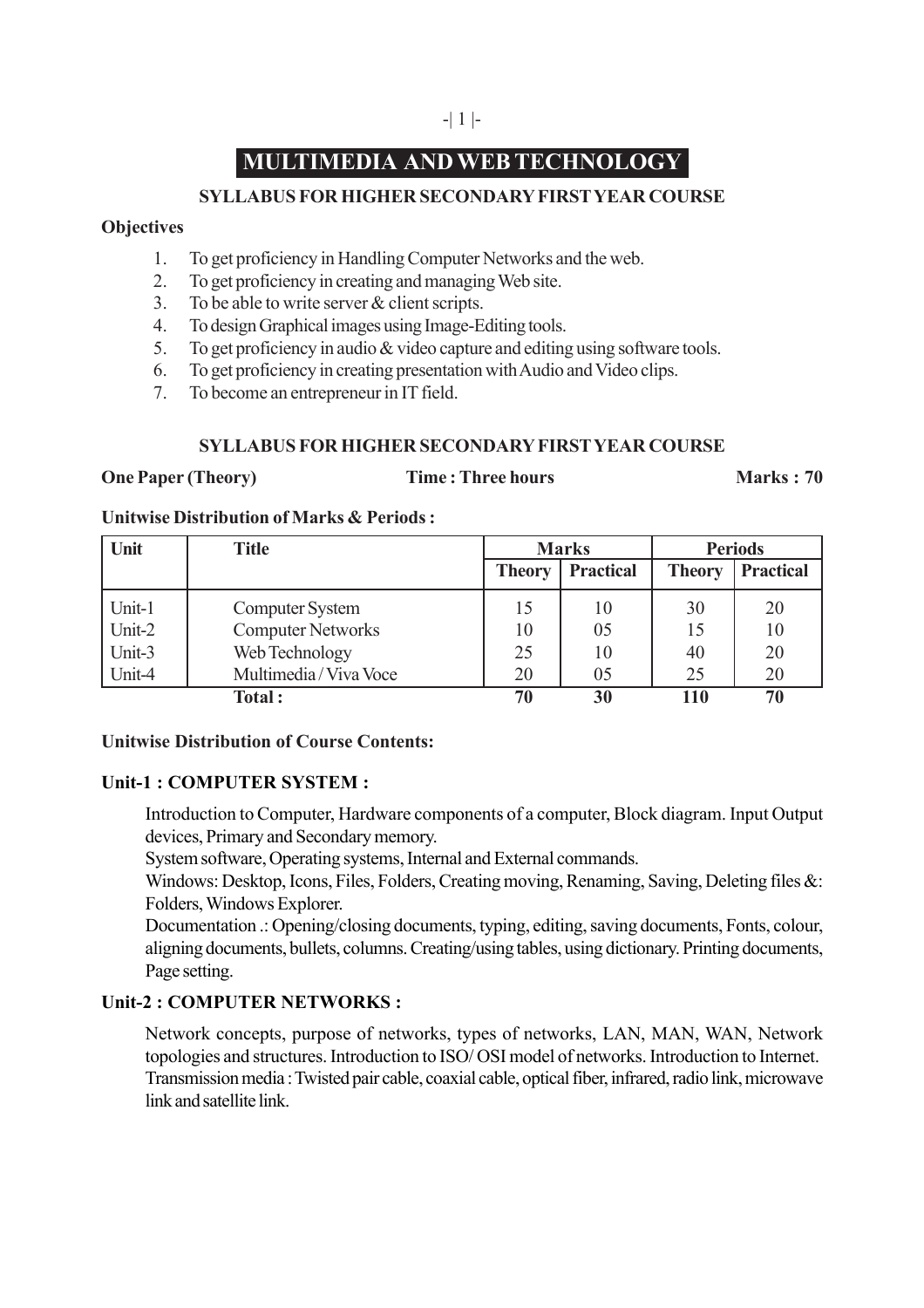# **MULTIMEDIA AND WEB TECHNOLOGY**

# **SYLLABUS FOR HIGHER SECONDARY FIRST YEAR COURSE**

## **Objectives**

- 1. To get proficiency in Handling Computer Networks and the web.
- 2. To get proficiency in creating and managing Web site.
- 3. To be able to write server & client scripts.
- 4. To design Graphical images using Image-Editing tools.
- 5. To get proficiency in audio & video capture and editing using software tools.
- 6. To get proficiency in creating presentation with Audio and Video clips.
- 7. To become an entrepreneur in IT field.

### **SYLLABUS FOR HIGHER SECONDARY FIRST YEAR COURSE**

### **One Paper (Theory)** Time : Three hours **Marks : 70**

#### **Unitwise Distribution of Marks & Periods :**

| Unit   | <b>Title</b>             |               | <b>Marks</b>     |               | <b>Periods</b>   |  |
|--------|--------------------------|---------------|------------------|---------------|------------------|--|
|        |                          | <b>Theory</b> | <b>Practical</b> | <b>Theory</b> | <b>Practical</b> |  |
| Unit-1 | Computer System          | 15            | 10               | 30            | 20               |  |
| Unit-2 | <b>Computer Networks</b> | 10            | 05               | 15            | 10               |  |
| Unit-3 | Web Technology           | 25            | 10               | 40            | 20               |  |
| Unit-4 | Multimedia / Viva Voce   | 20            | 05               | 25            | 20               |  |
| Total: |                          | 70            | 30               | 110           | 70               |  |

### **Unitwise Distribution of Course Contents:**

# **Unit-1 : COMPUTER SYSTEM :**

Introduction to Computer, Hardware components of a computer, Block diagram. Input Output devices, Primary and Secondary memory.

System software, Operating systems, Internal and External commands.

Windows: Desktop, Icons, Files, Folders, Creating moving, Renaming, Saving, Deleting files &: Folders, Windows Explorer.

Documentation .: Opening/closing documents, typing, editing, saving documents, Fonts, colour, aligning documents, bullets, columns. Creating/using tables, using dictionary. Printing documents, Page setting.

# **Unit-2 : COMPUTER NETWORKS :**

Network concepts, purpose of networks, types of networks, LAN, MAN, WAN, Network topologies and structures. Introduction to ISO/ OSI model of networks. Introduction to Internet. Transmission media : Twisted pair cable, coaxial cable, optical fiber, infrared, radio link, microwave link and satellite link.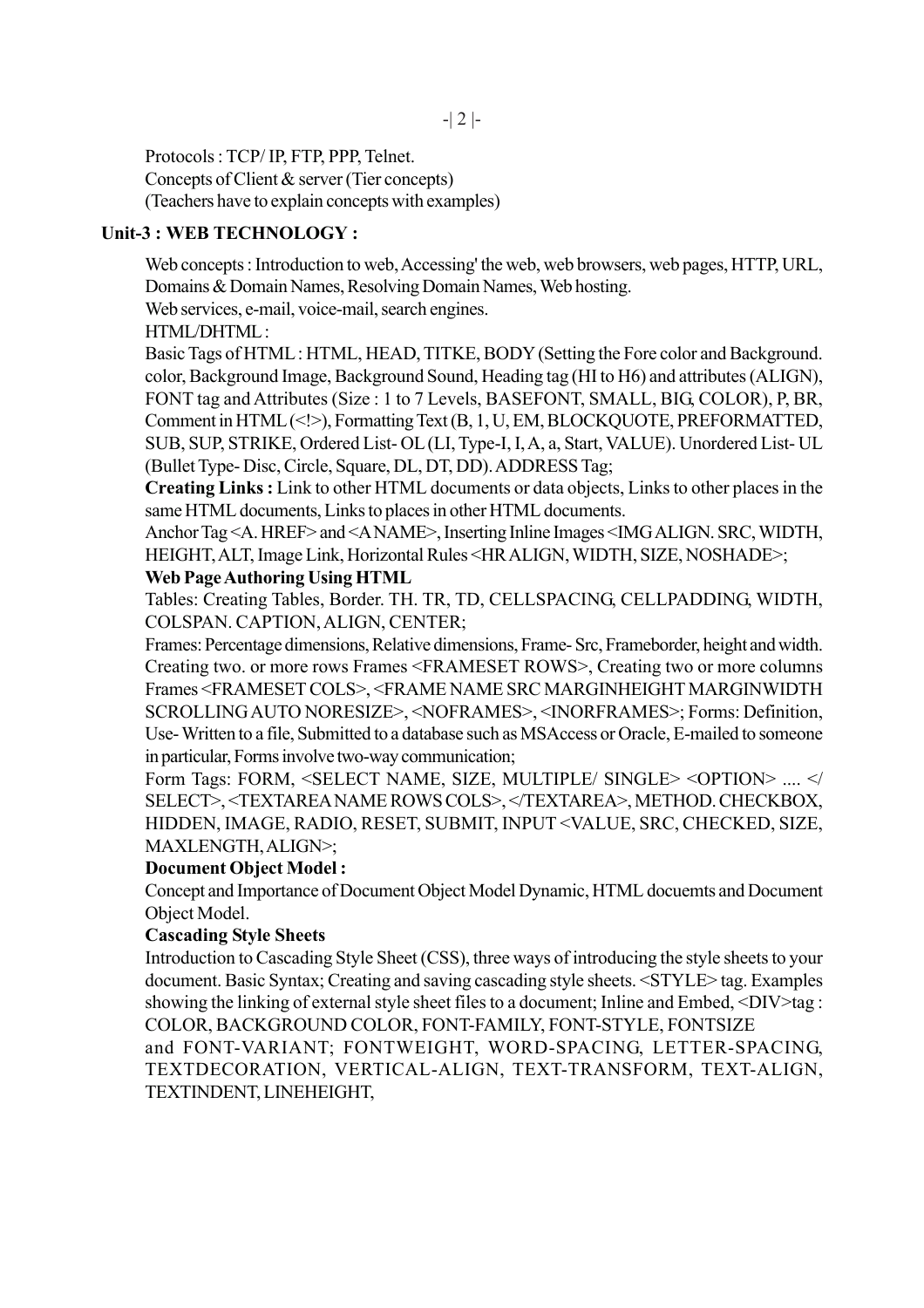-| 2 |-

Protocols : TCP/ IP, FTP, PPP, Telnet. Concepts of Client & server (Tier concepts) (Teachers have to explain concepts with examples)

### **Unit-3 : WEB TECHNOLOGY :**

Web concepts : Introduction to web, Accessing' the web, web browsers, web pages, HTTP, URL, Domains & Domain Names, Resolving Domain Names, Web hosting.

Web services, e-mail, voice-mail, search engines.

HTML/DHTML :

Basic Tags of HTML : HTML, HEAD, TITKE, BODY (Setting the Fore color and Background. color, Background Image, Background Sound, Heading tag (HI to H6) and attributes (ALIGN), FONT tag and Attributes (Size : 1 to 7 Levels, BASEFONT, SMALL, BIG, COLOR), P, BR, Comment in HTML (<!>), Formatting Text (B, 1, U, EM, BLOCKQUOTE, PREFORMATTED, SUB, SUP, STRIKE, Ordered List- OL (LI, Type-I, I, A, a, Start, VALUE). Unordered List- UL (Bullet Type- Disc, Circle, Square, DL, DT, DD). ADDRESS Tag;

**Creating Links :** Link to other HTML documents or data objects, Links to other places in the same HTML documents, Links to places in other HTML documents.

Anchor Tag <A. HREF> and <A NAME>, Inserting Inline Images <IMG ALIGN. SRC, WIDTH, HEIGHT, ALT, Image Link, Horizontal Rules <HR ALIGN, WIDTH, SIZE, NOSHADE>;

### **Web Page Authoring Using HTML**

Tables: Creating Tables, Border. TH. TR, TD, CELLSPACING, CELLPADDING, WIDTH, COLSPAN. CAPTION, ALIGN, CENTER;

Frames: Percentage dimensions, Relative dimensions, Frame- Src, Frameborder, height and width. Creating two. or more rows Frames <FRAMESET ROWS>, Creating two or more columns Frames <FRAMESET COLS>, <FRAME NAME SRC MARGINHEIGHT MARGINWIDTH SCROLLING AUTO NORESIZE>, <NOFRAMES>, <INORFRAMES>; Forms: Definition, Use- Written to a file, Submitted to a database such as MSAccess or Oracle, E-mailed to someone in particular, Forms involve two-way communication;

Form Tags: FORM, <SELECT NAME, SIZE, MULTIPLE/ SINGLE> <OPTION> .... </ SELECT>, <TEXTAREA NAME ROWS COLS>, </TEXTAREA>, METHOD. CHECKBOX, HIDDEN, IMAGE, RADIO, RESET, SUBMIT, INPUT <VALUE, SRC, CHECKED, SIZE, MAXLENGTH, ALIGN>;

# **Document Object Model :**

Concept and Importance of Document Object Model Dynamic, HTML docuemts and Document Object Model.

# **Cascading Style Sheets**

Introduction to Cascading Style Sheet (CSS), three ways of introducing the style sheets to your document. Basic Syntax; Creating and saving cascading style sheets. <STYLE> tag. Examples showing the linking of external style sheet files to a document; Inline and Embed,  $\langle DIV \rangle$ tag: COLOR, BACKGROUND COLOR, FONT-FAMILY, FONT-STYLE, FONTSIZE

and FONT-VARIANT; FONTWEIGHT, WORD-SPACING, LETTER-SPACING, TEXTDECORATION, VERTICAL-ALIGN, TEXT-TRANSFORM, TEXT-ALIGN, TEXTINDENT, LINEHEIGHT,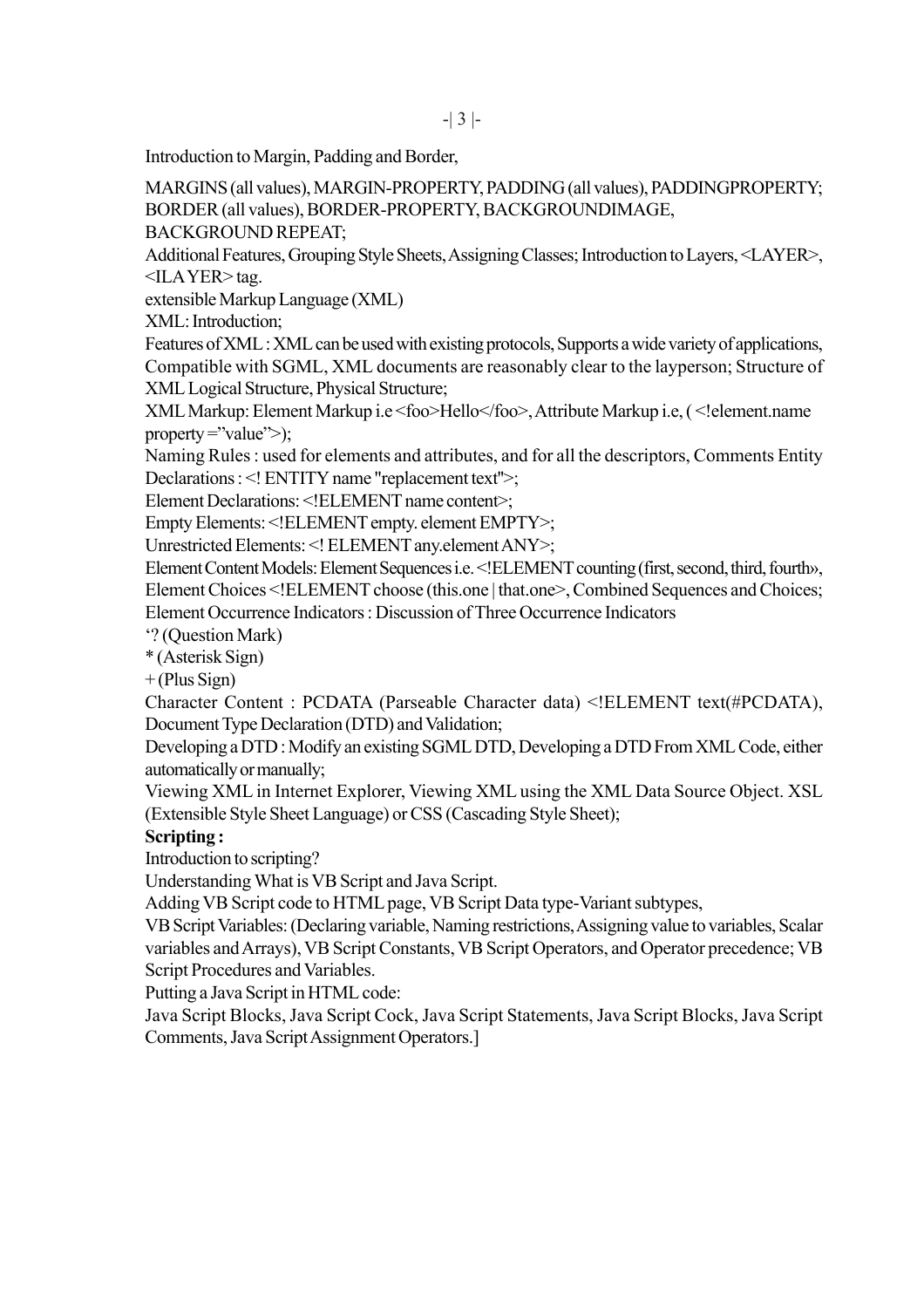Introduction to Margin, Padding and Border,

MARGINS (all values), MARGIN-PROPERTY, PADDING (all values), PADDINGPROPERTY; BORDER (all values), BORDER-PROPERTY, BACKGROUNDIMAGE,

BACKGROUND REPEAT;

Additional Features, Grouping Style Sheets, Assigning Classes; Introduction to Layers, <LAYER>, <ILA YER> tag.

extensible Markup Language (XML)

XML: Introduction;

Features of XML : XML can be used with existing protocols, Supports a wide variety of applications, Compatible with SGML, XML documents are reasonably clear to the layperson; Structure of XML Logical Structure, Physical Structure;

XML Markup: Element Markup i.e <foo>Hello</foo>, Attribute Markup i.e, ( <!element.name property  $=$ "value">);

Naming Rules : used for elements and attributes, and for all the descriptors, Comments Entity Declarations : <! ENTITY name "replacement text">;

Element Declarations: <!ELEMENT name content>;

Empty Elements: <!ELEMENT empty. element EMPTY>;

Unrestricted Elements: <! ELEMENT any.element ANY>;

Element Content Models: Element Sequences i.e. <!ELEMENT counting (first, second, third, fourth», Element Choices <! ELEMENT choose (this.one | that.one>, Combined Sequences and Choices; Element Occurrence Indicators : Discussion of Three Occurrence Indicators

'? (Question Mark)

\* (Asterisk Sign)

 $+$  (Plus Sign)

Character Content : PCDATA (Parseable Character data) <!ELEMENT text(#PCDATA), Document Type Declaration (DTD) and Validation;

Developing a DTD : Modify an existing SGML DTD, Developing a DTD From XML Code, either automatically or manually;

Viewing XML in Internet Explorer, Viewing XML using the XML Data Source Object. XSL (Extensible Style Sheet Language) or CSS (Cascading Style Sheet);

#### **Scripting :**

Introduction to scripting?

Understanding What is VB Script and Java Script.

Adding VB Script code to HTML page, VB Script Data type-Variant subtypes,

VB Script Variables: (Declaring variable, Naming restrictions, Assigning value to variables, Scalar variables and Arrays), VB Script Constants, VB Script Operators, and Operator precedence; VB Script Procedures and Variables.

Putting a Java Script in HTML code:

Java Script Blocks, Java Script Cock, Java Script Statements, Java Script Blocks, Java Script Comments, Java Script Assignment Operators.]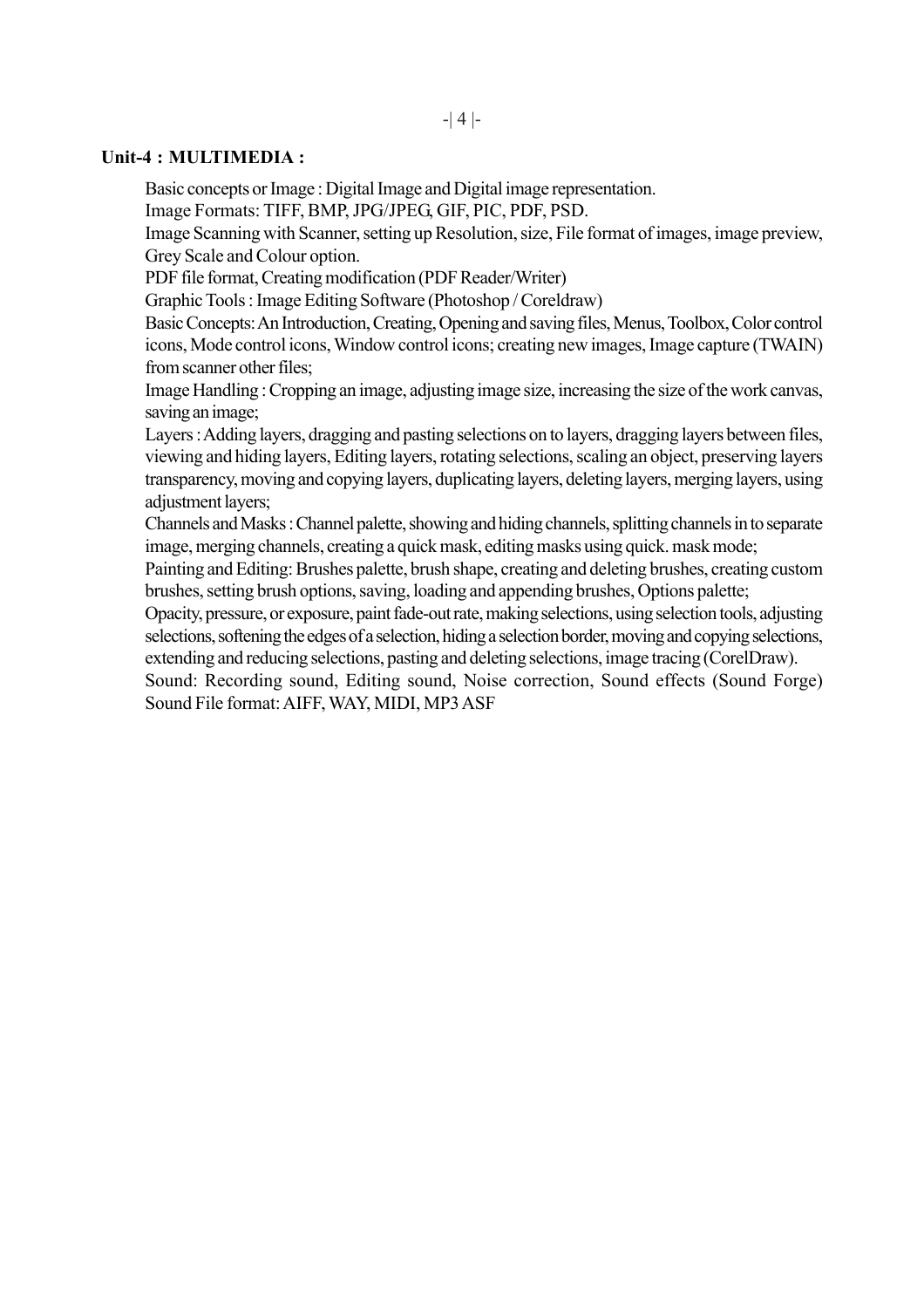#### **Unit-4 : MULTIMEDIA :**

Basic concepts or Image : Digital Image and Digital image representation.

Image Formats: TIFF, BMP, JPG/JPEG, GIF, PIC, PDF, PSD.

Image Scanning with Scanner, setting up Resolution, size, File format of images, image preview, Grey Scale and Colour option.

PDF file format, Creating modification (PDF Reader/Writer)

Graphic Tools : Image Editing Software (Photoshop / Coreldraw)

Basic Concepts: An Introduction, Creating, Opening and saving files, Menus, Toolbox, Color control icons, Mode control icons, Window control icons; creating new images, Image capture (TWAIN) from scanner other files;

Image Handling : Cropping an image, adjusting image size, increasing the size of the work canvas, saving an image;

Layers : Adding layers, dragging and pasting selections on to layers, dragging layers between files, viewing and hiding layers, Editing layers, rotating selections, scaling an object, preserving layers transparency, moving and copying layers, duplicating layers, deleting layers, merging layers, using adjustment layers;

Channels and Masks : Channel palette, showing and hiding channels, splitting channels in to separate image, merging channels, creating a quick mask, editing masks using quick. mask mode;

Painting and Editing: Brushes palette, brush shape, creating and deleting brushes, creating custom brushes, setting brush options, saving, loading and appending brushes, Options palette;

Opacity, pressure, or exposure, paint fade-out rate, making selections, using selection tools, adjusting selections, softening the edges of a selection, hiding a selection border, moving and copying selections, extending and reducing selections, pasting and deleting selections, image tracing (CorelDraw).

Sound: Recording sound, Editing sound, Noise correction, Sound effects (Sound Forge) Sound File format: AIFF, WAY, MIDI, MP3 ASF